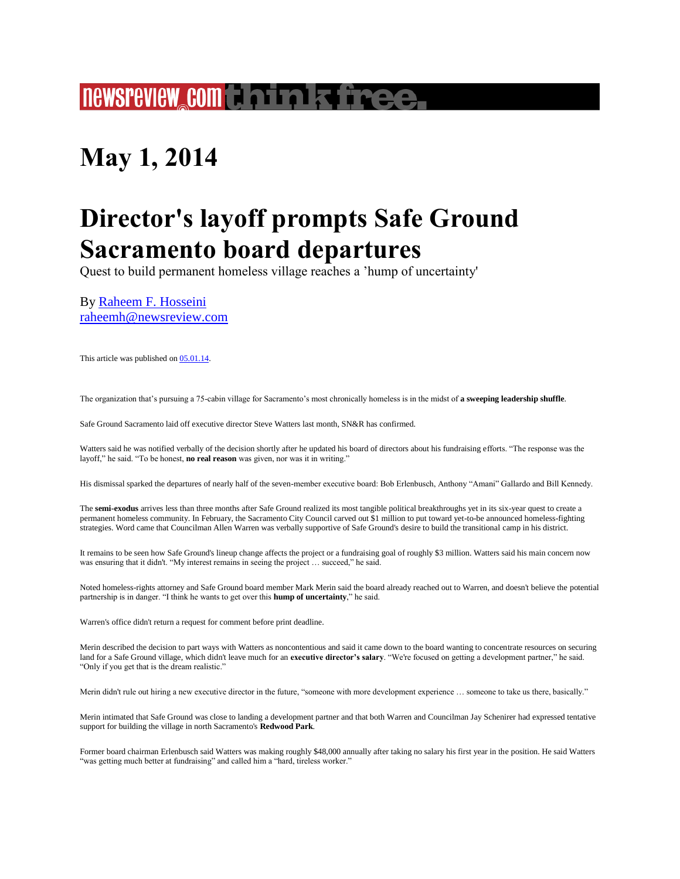## **newsreview com think free.**

## **May 1, 2014**

## **Director's layoff prompts Safe Ground Sacramento board departures**

Quest to build permanent homeless village reaches a 'hump of uncertainty'

By [Raheem F. Hosseini](http://www.newsreview.com/sacramento/raheem-f-hosseini/author) [raheemh@newsreview.com](http://www.newsreview.com/sacramento/Contact?content=13342990)

This article was published on [05.01.14.](http://www.newsreview.com/sacramento/2014-05-01/archive) 

The organization that's pursuing a 75-cabin village for Sacramento's most chronically homeless is in the midst of **a sweeping leadership shuffle**.

Safe Ground Sacramento laid off executive director Steve Watters last month, SN&R has confirmed.

Watters said he was notified verbally of the decision shortly after he updated his board of directors about his fundraising efforts. "The response was the layoff," he said. "To be honest, **no real reason** was given, nor was it in writing."

His dismissal sparked the departures of nearly half of the seven-member executive board: Bob Erlenbusch, Anthony "Amani" Gallardo and Bill Kennedy.

The **semi-exodus** arrives less than three months after Safe Ground realized its most tangible political breakthroughs yet in its six-year quest to create a permanent homeless community. In February, the Sacramento City Council carved out \$1 million to put toward yet-to-be announced homeless-fighting strategies. Word came that Councilman Allen Warren was verbally supportive of Safe Ground's desire to build the transitional camp in his district.

It remains to be seen how Safe Ground's lineup change affects the project or a fundraising goal of roughly \$3 million. Watters said his main concern now was ensuring that it didn't. "My interest remains in seeing the project … succeed," he said.

Noted homeless-rights attorney and Safe Ground board member Mark Merin said the board already reached out to Warren, and doesn't believe the potential partnership is in danger. "I think he wants to get over this **hump of uncertainty**," he said.

Warren's office didn't return a request for comment before print deadline.

Merin described the decision to part ways with Watters as noncontentious and said it came down to the board wanting to concentrate resources on securing land for a Safe Ground village, which didn't leave much for an **executive director's salary**. "We're focused on getting a development partner," he said. "Only if you get that is the dream realistic."

Merin didn't rule out hiring a new executive director in the future, "someone with more development experience ... someone to take us there, basically."

Merin intimated that Safe Ground was close to landing a development partner and that both Warren and Councilman Jay Schenirer had expressed tentative support for building the village in north Sacramento's **Redwood Park**.

Former board chairman Erlenbusch said Watters was making roughly \$48,000 annually after taking no salary his first year in the position. He said Watters "was getting much better at fundraising" and called him a "hard, tireless worker."